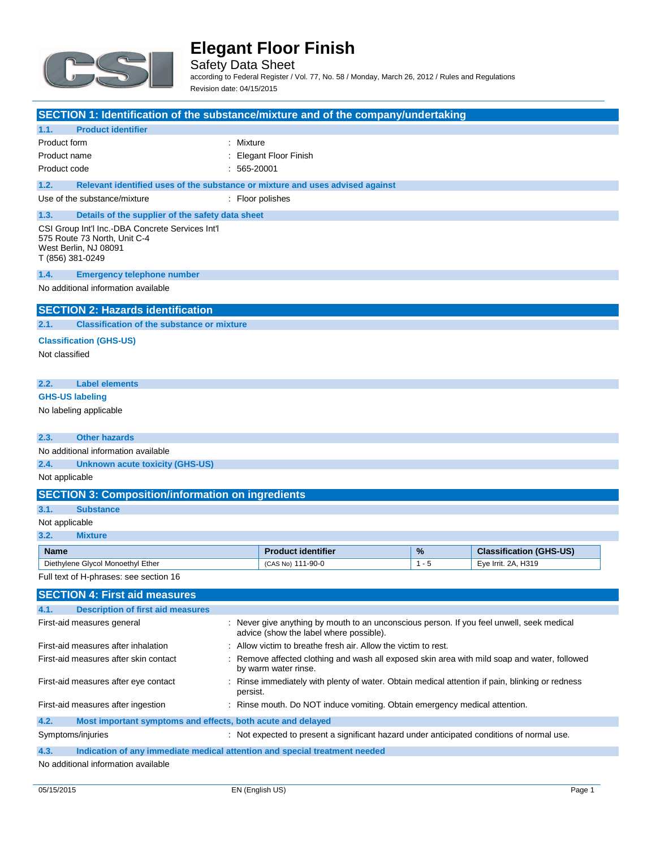

Safety Data Sheet according to Federal Register / Vol. 77, No. 58 / Monday, March 26, 2012 / Rules and Regulations

Revision date: 04/15/2015

| SECTION 1: Identification of the substance/mixture and of the company/undertaking                                             |           |                                                                                                                                      |         |                                |
|-------------------------------------------------------------------------------------------------------------------------------|-----------|--------------------------------------------------------------------------------------------------------------------------------------|---------|--------------------------------|
| 1.1.<br><b>Product identifier</b>                                                                                             |           |                                                                                                                                      |         |                                |
| Product form                                                                                                                  | : Mixture |                                                                                                                                      |         |                                |
| Product name                                                                                                                  |           | <b>Elegant Floor Finish</b>                                                                                                          |         |                                |
| Product code                                                                                                                  | 565-20001 |                                                                                                                                      |         |                                |
| 1.2.<br>Relevant identified uses of the substance or mixture and uses advised against                                         |           |                                                                                                                                      |         |                                |
| Use of the substance/mixture                                                                                                  |           | : Floor polishes                                                                                                                     |         |                                |
| 1.3.<br>Details of the supplier of the safety data sheet                                                                      |           |                                                                                                                                      |         |                                |
| CSI Group Int'l Inc.-DBA Concrete Services Int'l<br>575 Route 73 North, Unit C-4<br>West Berlin, NJ 08091<br>T (856) 381-0249 |           |                                                                                                                                      |         |                                |
| 1.4.<br><b>Emergency telephone number</b>                                                                                     |           |                                                                                                                                      |         |                                |
| No additional information available                                                                                           |           |                                                                                                                                      |         |                                |
| <b>SECTION 2: Hazards identification</b>                                                                                      |           |                                                                                                                                      |         |                                |
| 2.1.<br><b>Classification of the substance or mixture</b>                                                                     |           |                                                                                                                                      |         |                                |
| <b>Classification (GHS-US)</b>                                                                                                |           |                                                                                                                                      |         |                                |
| Not classified                                                                                                                |           |                                                                                                                                      |         |                                |
|                                                                                                                               |           |                                                                                                                                      |         |                                |
| <b>Label elements</b><br>2.2.                                                                                                 |           |                                                                                                                                      |         |                                |
| <b>GHS-US labeling</b>                                                                                                        |           |                                                                                                                                      |         |                                |
| No labeling applicable                                                                                                        |           |                                                                                                                                      |         |                                |
|                                                                                                                               |           |                                                                                                                                      |         |                                |
| 2.3.<br><b>Other hazards</b>                                                                                                  |           |                                                                                                                                      |         |                                |
| No additional information available                                                                                           |           |                                                                                                                                      |         |                                |
| 2.4.<br><b>Unknown acute toxicity (GHS-US)</b>                                                                                |           |                                                                                                                                      |         |                                |
| Not applicable                                                                                                                |           |                                                                                                                                      |         |                                |
|                                                                                                                               |           |                                                                                                                                      |         |                                |
| <b>SECTION 3: Composition/information on ingredients</b>                                                                      |           |                                                                                                                                      |         |                                |
| 3.1.<br><b>Substance</b>                                                                                                      |           |                                                                                                                                      |         |                                |
| Not applicable                                                                                                                |           |                                                                                                                                      |         |                                |
| 3.2.<br><b>Mixture</b>                                                                                                        |           |                                                                                                                                      |         |                                |
| <b>Name</b>                                                                                                                   |           | <b>Product identifier</b>                                                                                                            | %       | <b>Classification (GHS-US)</b> |
| Diethylene Glycol Monoethyl Ether                                                                                             |           | (CAS No) 111-90-0                                                                                                                    | $1 - 5$ | Eye Irrit. 2A, H319            |
| Full text of H-phrases: see section 16                                                                                        |           |                                                                                                                                      |         |                                |
| <b>SECTION 4: First aid measures</b>                                                                                          |           |                                                                                                                                      |         |                                |
| <b>Description of first aid measures</b><br>4.1.                                                                              |           |                                                                                                                                      |         |                                |
| First-aid measures general                                                                                                    |           | : Never give anything by mouth to an unconscious person. If you feel unwell, seek medical<br>advice (show the label where possible). |         |                                |
| First-aid measures after inhalation                                                                                           |           | Allow victim to breathe fresh air. Allow the victim to rest.                                                                         |         |                                |
| First-aid measures after skin contact                                                                                         |           | Remove affected clothing and wash all exposed skin area with mild soap and water, followed<br>by warm water rinse.                   |         |                                |
| First-aid measures after eye contact                                                                                          | persist.  | : Rinse immediately with plenty of water. Obtain medical attention if pain, blinking or redness                                      |         |                                |
| First-aid measures after ingestion                                                                                            |           | Rinse mouth. Do NOT induce vomiting. Obtain emergency medical attention.                                                             |         |                                |
| 4.2.<br>Most important symptoms and effects, both acute and delayed                                                           |           |                                                                                                                                      |         |                                |
| Symptoms/injuries                                                                                                             |           | : Not expected to present a significant hazard under anticipated conditions of normal use.                                           |         |                                |
| 4.3.<br>Indication of any immediate medical attention and special treatment needed                                            |           |                                                                                                                                      |         |                                |
| No additional information available                                                                                           |           |                                                                                                                                      |         |                                |

No additional information available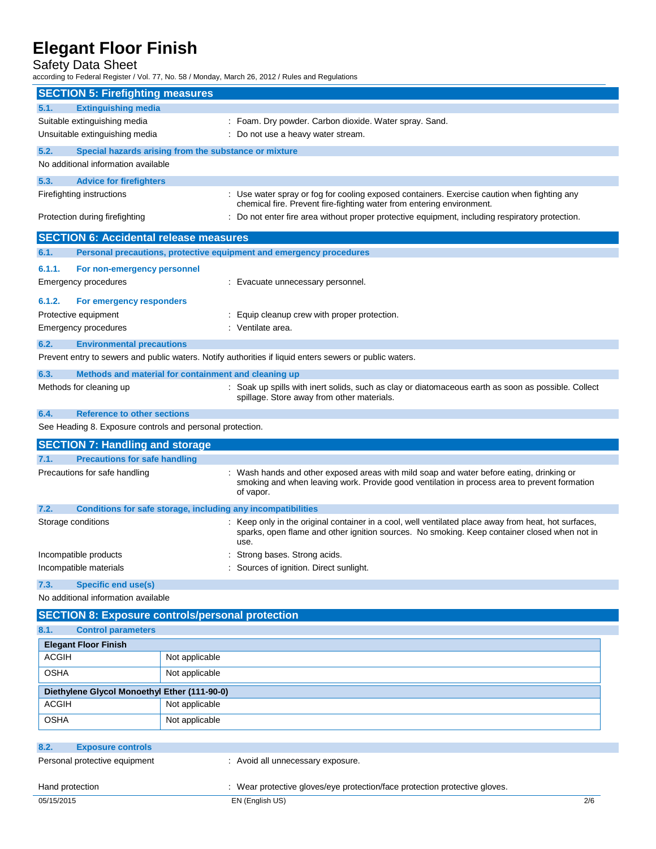## Safety Data Sheet

according to Federal Register / Vol. 77, No. 58 / Monday, March 26, 2012 / Rules and Regulations

|                                                               | <b>SECTION 5: Firefighting measures</b> |                                                                                                                                                                                                              |
|---------------------------------------------------------------|-----------------------------------------|--------------------------------------------------------------------------------------------------------------------------------------------------------------------------------------------------------------|
| <b>Extinguishing media</b><br>5.1.                            |                                         |                                                                                                                                                                                                              |
| Suitable extinguishing media                                  |                                         | : Foam. Dry powder. Carbon dioxide. Water spray. Sand.                                                                                                                                                       |
| Unsuitable extinguishing media                                |                                         | : Do not use a heavy water stream.                                                                                                                                                                           |
| 5.2.<br>Special hazards arising from the substance or mixture |                                         |                                                                                                                                                                                                              |
| No additional information available                           |                                         |                                                                                                                                                                                                              |
| 5.3.<br><b>Advice for firefighters</b>                        |                                         |                                                                                                                                                                                                              |
| Firefighting instructions                                     |                                         | : Use water spray or fog for cooling exposed containers. Exercise caution when fighting any                                                                                                                  |
|                                                               |                                         | chemical fire. Prevent fire-fighting water from entering environment.                                                                                                                                        |
| Protection during firefighting                                |                                         | : Do not enter fire area without proper protective equipment, including respiratory protection.                                                                                                              |
| <b>SECTION 6: Accidental release measures</b>                 |                                         |                                                                                                                                                                                                              |
| 6.1.                                                          |                                         | Personal precautions, protective equipment and emergency procedures                                                                                                                                          |
| 6.1.1.<br>For non-emergency personnel                         |                                         |                                                                                                                                                                                                              |
| Emergency procedures                                          |                                         | : Evacuate unnecessary personnel.                                                                                                                                                                            |
| 6.1.2.<br>For emergency responders                            |                                         |                                                                                                                                                                                                              |
| Protective equipment                                          |                                         | : Equip cleanup crew with proper protection.                                                                                                                                                                 |
| <b>Emergency procedures</b>                                   |                                         | : Ventilate area.                                                                                                                                                                                            |
| 6.2.<br><b>Environmental precautions</b>                      |                                         |                                                                                                                                                                                                              |
|                                                               |                                         | Prevent entry to sewers and public waters. Notify authorities if liquid enters sewers or public waters.                                                                                                      |
| 6.3.<br>Methods and material for containment and cleaning up  |                                         |                                                                                                                                                                                                              |
| Methods for cleaning up                                       |                                         | : Soak up spills with inert solids, such as clay or diatomaceous earth as soon as possible. Collect<br>spillage. Store away from other materials.                                                            |
| 6.4.<br><b>Reference to other sections</b>                    |                                         |                                                                                                                                                                                                              |
| See Heading 8. Exposure controls and personal protection.     |                                         |                                                                                                                                                                                                              |
| <b>SECTION 7: Handling and storage</b>                        |                                         |                                                                                                                                                                                                              |
| 7.1.<br><b>Precautions for safe handling</b>                  |                                         |                                                                                                                                                                                                              |
| Precautions for safe handling                                 |                                         | : Wash hands and other exposed areas with mild soap and water before eating, drinking or                                                                                                                     |
|                                                               |                                         | smoking and when leaving work. Provide good ventilation in process area to prevent formation                                                                                                                 |
|                                                               |                                         | of vapor.                                                                                                                                                                                                    |
| 7.2.                                                          |                                         | <b>Conditions for safe storage, including any incompatibilities</b>                                                                                                                                          |
| Storage conditions                                            |                                         | : Keep only in the original container in a cool, well ventilated place away from heat, hot surfaces,<br>sparks, open flame and other ignition sources. No smoking. Keep container closed when not in<br>use. |
| Incompatible products                                         |                                         | Strong bases. Strong acids.                                                                                                                                                                                  |
| Incompatible materials                                        |                                         | Sources of ignition. Direct sunlight.                                                                                                                                                                        |
| 7.3.<br><b>Specific end use(s)</b>                            |                                         |                                                                                                                                                                                                              |
| No additional information available                           |                                         |                                                                                                                                                                                                              |
| <b>SECTION 8: Exposure controls/personal protection</b>       |                                         |                                                                                                                                                                                                              |
| 8.1.<br><b>Control parameters</b>                             |                                         |                                                                                                                                                                                                              |
| <b>Elegant Floor Finish</b>                                   |                                         |                                                                                                                                                                                                              |
| <b>ACGIH</b>                                                  | Not applicable                          |                                                                                                                                                                                                              |
| <b>OSHA</b>                                                   | Not applicable                          |                                                                                                                                                                                                              |
|                                                               |                                         |                                                                                                                                                                                                              |
| Diethylene Glycol Monoethyl Ether (111-90-0)<br><b>ACGIH</b>  | Not applicable                          |                                                                                                                                                                                                              |
| <b>OSHA</b>                                                   | Not applicable                          |                                                                                                                                                                                                              |
|                                                               |                                         |                                                                                                                                                                                                              |
| 8.2.<br><b>Exposure controls</b>                              |                                         |                                                                                                                                                                                                              |
| Personal protective equipment                                 |                                         | : Avoid all unnecessary exposure.                                                                                                                                                                            |

05/15/2015 EN (English US) 2/6 Hand protection : Wear protective gloves/eye protection/face protection protective gloves.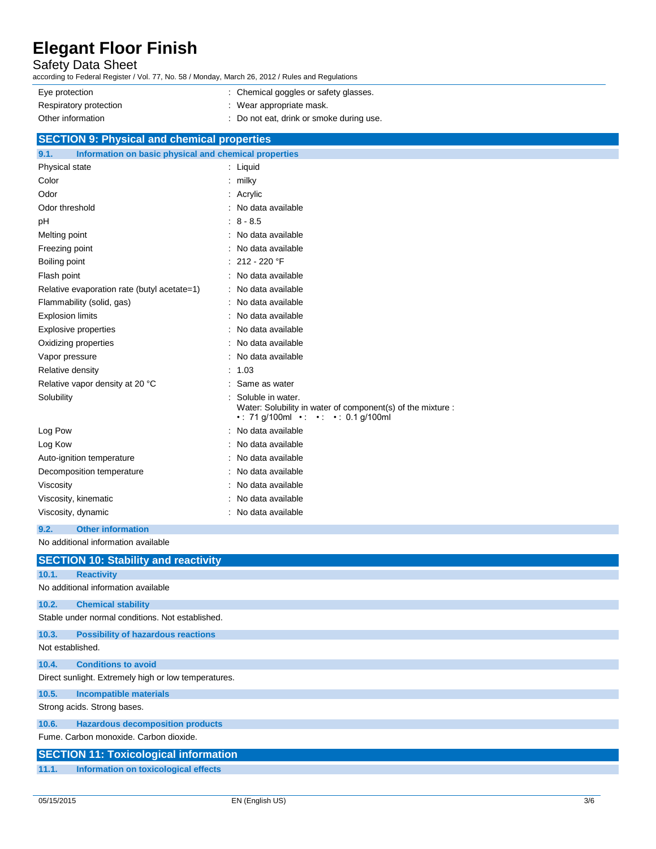### Safety Data Sheet

according to Federal Register / Vol. 77, No. 58 / Monday, March 26, 2012 / Rules and Regulations

| Eye protection         | : Chemical goggles or safety glasses.    |
|------------------------|------------------------------------------|
| Respiratory protection | : Wear appropriate mask.                 |
| Other information      | : Do not eat, drink or smoke during use. |

| <b>SECTION 9: Physical and chemical properties</b>            |                                                                                                                        |
|---------------------------------------------------------------|------------------------------------------------------------------------------------------------------------------------|
| Information on basic physical and chemical properties<br>9.1. |                                                                                                                        |
| Physical state                                                | : Liquid                                                                                                               |
| Color                                                         | milky                                                                                                                  |
| Odor                                                          | Acrylic                                                                                                                |
| Odor threshold                                                | No data available                                                                                                      |
| pH                                                            | $8 - 8.5$                                                                                                              |
| Melting point                                                 | No data available                                                                                                      |
| Freezing point                                                | No data available                                                                                                      |
| Boiling point                                                 | 212 - 220 °F                                                                                                           |
| Flash point                                                   | : No data available                                                                                                    |
| Relative evaporation rate (butyl acetate=1)                   | No data available                                                                                                      |
| Flammability (solid, gas)                                     | No data available                                                                                                      |
| <b>Explosion limits</b>                                       | No data available                                                                                                      |
| <b>Explosive properties</b>                                   | No data available                                                                                                      |
| Oxidizing properties                                          | No data available                                                                                                      |
| Vapor pressure                                                | No data available                                                                                                      |
| Relative density                                              | : 1.03                                                                                                                 |
| Relative vapor density at 20 °C                               | Same as water                                                                                                          |
| Solubility                                                    | Soluble in water.<br>Water: Solubility in water of component(s) of the mixture :<br>.: 71 g/100ml .: .: .: 0.1 g/100ml |
| Log Pow                                                       | No data available                                                                                                      |
| Log Kow                                                       | No data available                                                                                                      |
| Auto-ignition temperature                                     | No data available                                                                                                      |
| Decomposition temperature                                     | No data available                                                                                                      |
| Viscosity                                                     | No data available                                                                                                      |
| Viscosity, kinematic                                          | No data available                                                                                                      |
| Viscosity, dynamic                                            | No data available                                                                                                      |
| 9.2.<br><b>Other information</b>                              |                                                                                                                        |

No additional information available

|                  | <b>SECTION 10: Stability and reactivity</b>          |
|------------------|------------------------------------------------------|
| 10.1.            | <b>Reactivity</b>                                    |
|                  | No additional information available                  |
| 10.2.            | <b>Chemical stability</b>                            |
|                  | Stable under normal conditions. Not established.     |
| 10.3.            | <b>Possibility of hazardous reactions</b>            |
| Not established. |                                                      |
| 10.4.            | <b>Conditions to avoid</b>                           |
|                  | Direct sunlight. Extremely high or low temperatures. |
| 10.5.            | <b>Incompatible materials</b>                        |
|                  | Strong acids. Strong bases.                          |
| 10.6.            | <b>Hazardous decomposition products</b>              |
|                  | Fume, Carbon monoxide, Carbon dioxide,               |
|                  | <b>SECTION 11: Toxicological information</b>         |
| 11.1.            | Information on toxicological effects                 |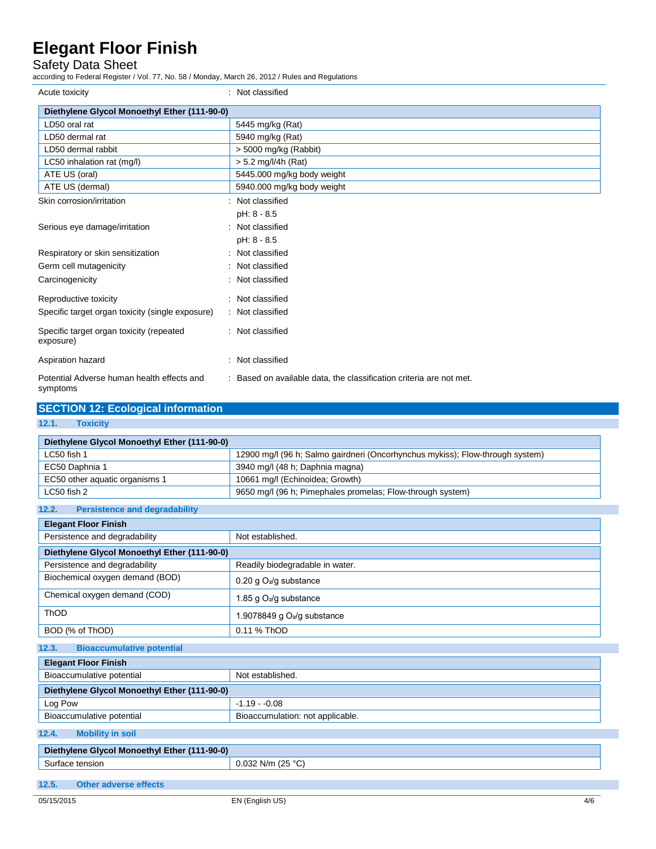## Safety Data Sheet

according to Federal Register / Vol. 77, No. 58 / Monday, March 26, 2012 / Rules and Regulations

| Acute toxicity                                         | Not classified                                                    |
|--------------------------------------------------------|-------------------------------------------------------------------|
| Diethylene Glycol Monoethyl Ether (111-90-0)           |                                                                   |
| LD50 oral rat                                          | 5445 mg/kg (Rat)                                                  |
| LD50 dermal rat                                        | 5940 mg/kg (Rat)                                                  |
| LD50 dermal rabbit                                     | $> 5000$ mg/kg (Rabbit)                                           |
| LC50 inhalation rat (mg/l)                             | $> 5.2$ mg/l/4h (Rat)                                             |
| ATE US (oral)                                          | 5445.000 mg/kg body weight                                        |
| ATE US (dermal)                                        | 5940.000 mg/kg body weight                                        |
| Skin corrosion/irritation                              | Not classified                                                    |
|                                                        | pH: 8 - 8.5                                                       |
| Serious eye damage/irritation                          | Not classified                                                    |
|                                                        | pH: 8 - 8.5                                                       |
| Respiratory or skin sensitization                      | Not classified                                                    |
| Germ cell mutagenicity                                 | Not classified                                                    |
| Carcinogenicity                                        | Not classified                                                    |
| Reproductive toxicity                                  | Not classified                                                    |
| Specific target organ toxicity (single exposure)       | : Not classified                                                  |
| Specific target organ toxicity (repeated<br>exposure)  | : Not classified                                                  |
| Aspiration hazard                                      | Not classified                                                    |
| Potential Adverse human health effects and<br>symptoms | Based on available data, the classification criteria are not met. |

| <b>SECTION 12: Ecological information</b>     |                                                                               |  |
|-----------------------------------------------|-------------------------------------------------------------------------------|--|
| 12.1.<br><b>Toxicity</b>                      |                                                                               |  |
| Diethylene Glycol Monoethyl Ether (111-90-0)  |                                                                               |  |
| LC50 fish 1                                   | 12900 mg/l (96 h; Salmo gairdneri (Oncorhynchus mykiss); Flow-through system) |  |
| EC50 Daphnia 1                                | 3940 mg/l (48 h; Daphnia magna)                                               |  |
| EC50 other aquatic organisms 1                | 10661 mg/l (Echinoidea; Growth)                                               |  |
| LC50 fish 2                                   | 9650 mg/l (96 h; Pimephales promelas; Flow-through system)                    |  |
| 12.2.<br><b>Persistence and degradability</b> |                                                                               |  |
| <b>Elegant Floor Finish</b>                   |                                                                               |  |
| Persistence and degradability                 | Not established.                                                              |  |
| Diethylene Glycol Monoethyl Ether (111-90-0)  |                                                                               |  |
| Persistence and degradability                 | Readily biodegradable in water.                                               |  |
| Biochemical oxygen demand (BOD)               | 0.20 g O <sub>2</sub> /g substance                                            |  |
| Chemical oxygen demand (COD)                  | 1.85 g O <sub>2</sub> /g substance                                            |  |
| ThOD                                          | 1.9078849 g $O2/g$ substance                                                  |  |
| BOD (% of ThOD)                               | 0.11 % ThOD                                                                   |  |
| <b>Bioaccumulative potential</b><br>12.3.     |                                                                               |  |
| <b>Elegant Floor Finish</b>                   |                                                                               |  |
| Bioaccumulative potential                     | Not established.                                                              |  |
| Diethylene Glycol Monoethyl Ether (111-90-0)  |                                                                               |  |
| Log Pow                                       | $-1.19 - 0.08$                                                                |  |
| Bioaccumulative potential                     | Bioaccumulation: not applicable.                                              |  |
| <b>Mobility in soil</b><br>12.4.              |                                                                               |  |
| Diethylene Glycol Monoethyl Ether (111-90-0)  |                                                                               |  |
| Surface tension                               | $0.032$ N/m (25 °C)                                                           |  |
|                                               |                                                                               |  |

**12.5. Other adverse effects**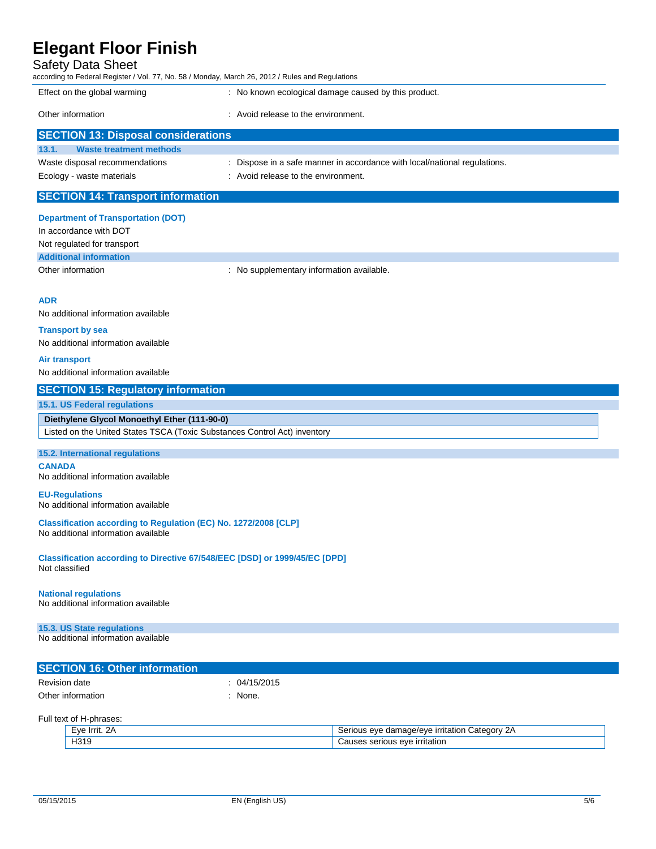### Safety Data Sheet

| Jaiely Dala Jileel<br>according to Federal Register / Vol. 77, No. 58 / Monday, March 26, 2012 / Rules and Regulations |                                                                           |  |
|------------------------------------------------------------------------------------------------------------------------|---------------------------------------------------------------------------|--|
| Effect on the global warming                                                                                           | : No known ecological damage caused by this product.                      |  |
| Other information                                                                                                      | : Avoid release to the environment.                                       |  |
| <b>SECTION 13: Disposal considerations</b>                                                                             |                                                                           |  |
| <b>Waste treatment methods</b><br>13.1.                                                                                |                                                                           |  |
| Waste disposal recommendations                                                                                         | : Dispose in a safe manner in accordance with local/national regulations. |  |
| Ecology - waste materials                                                                                              | : Avoid release to the environment.                                       |  |
| <b>SECTION 14: Transport information</b>                                                                               |                                                                           |  |
| <b>Department of Transportation (DOT)</b>                                                                              |                                                                           |  |

In accordance with DOT Not regulated for transport

**Additional information**

Other information **contains the container of the container of the container of the container of the container of the container of the container of the container of the container of the container of the container of the con** 

#### **ADR**

No additional information available

#### **Transport by sea**

No additional information available

#### **Air transport**

No additional information available

#### **SECTION 15: Regulatory information**

#### **15.1. US Federal regulations**

**Diethylene Glycol Monoethyl Ether (111-90-0)** Listed on the United States TSCA (Toxic Substances Control Act) inventory

#### **15.2. International regulations**

**CANADA** No additional information available

#### **EU-Regulations**

No additional information available

**Classification according to Regulation (EC) No. 1272/2008 [CLP]** No additional information available

**Classification according to Directive 67/548/EEC [DSD] or 1999/45/EC [DPD]** Not classified

#### **National regulations**

No additional information available

#### **15.3. US State regulations**

No additional information available

| <b>SECTION 16: Other information</b> |            |
|--------------------------------------|------------|
| Revision date                        | 04/15/2015 |
| Other information                    | None.      |

Full text of H-phrases:

| =ve<br>-         | $+0.00r$<br>$\sim$<br>eve<br>.ater<br><b>10/AVC</b><br>זב<br>ъ.<br>בנונוו<br>. JI V<br>- LF<br>-<br>$\sim$<br>. |
|------------------|-----------------------------------------------------------------------------------------------------------------|
| H319<br>. .<br>_ | rritation)<br>$\bigcirc$<br>serious<br>$-55$                                                                    |